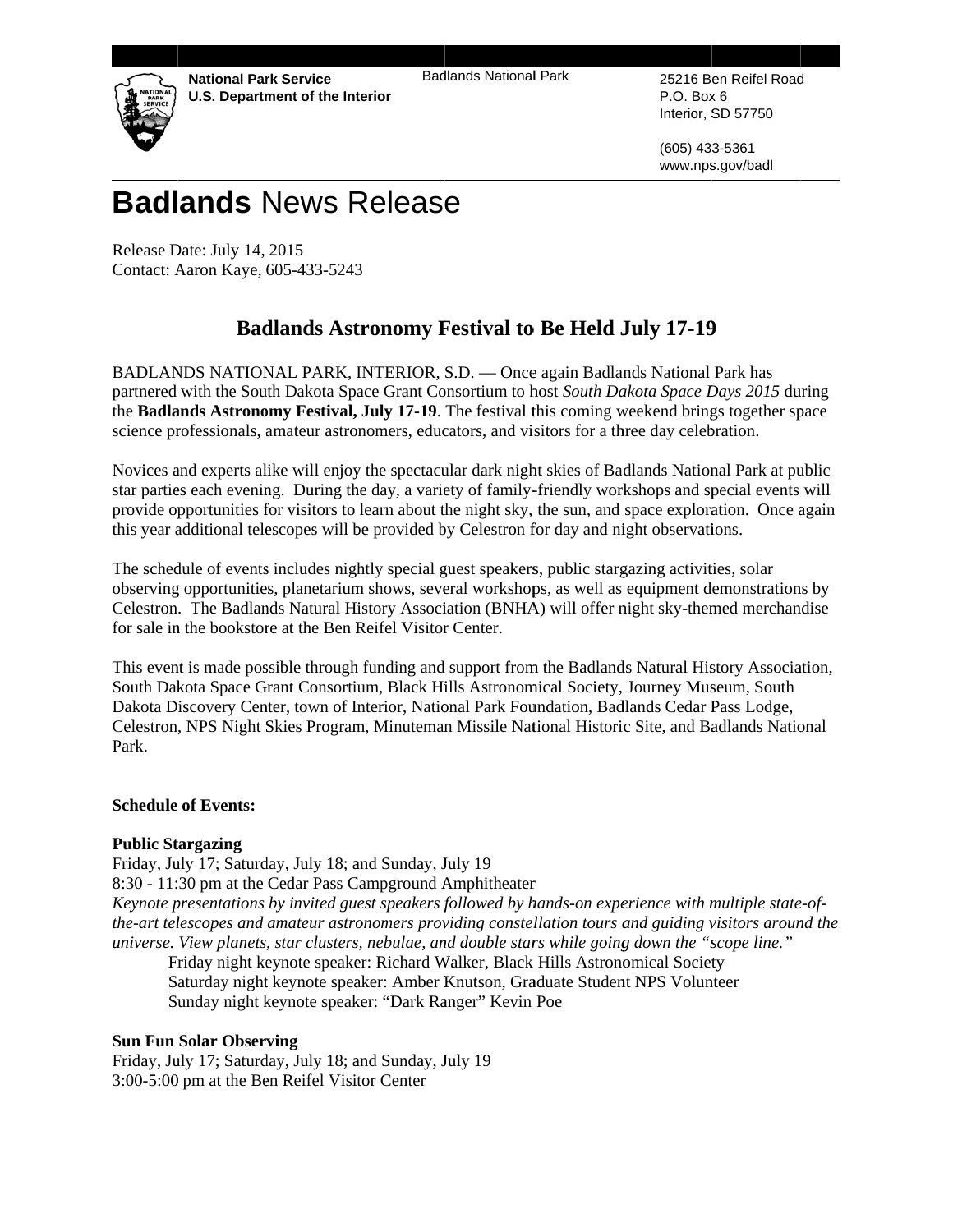**National Park Service U.S. Department of the Interior**  **Badlands National Park** 



25216 Ben Reifel Road P.O. Box 6 Interior, SD 57750

(605) 433-5361 www.nps.gov/badl

# **Badlands News Release**

Release Date: July 14, 2015 Contact: Aaron Kaye, 605-433-5243

## **Badlands Astronomy Festival to Be Held July 17-19**

BADLANDS NATIONAL PARK, INTERIOR, S.D. — Once again Badlands National Park has partnered with the South Dakota Space Grant Consortium to host South Dakota Space Days 2015 during the Badlands Astronomy Festival, July 17-19. The festival this coming weekend brings together space science professionals, amateur astronomers, educators, and visitors for a three day celebration.

Novices and experts alike will enjoy the spectacular dark night skies of Badlands National Park at public star parties each evening. During the day, a variety of family-friendly workshops and special events will provide opportunities for visitors to learn about the night sky, the sun, and space exploration. Once again this year additional telescopes will be provided by Celestron for day and night observations.

The schedule of events includes nightly special guest speakers, public stargazing activities, solar observing opportunities, planetarium shows, several workshops, as well as equipment demonstrations by Celestron. The Badlands Natural History Association (BNHA) will offer night sky-themed merchandise for sale in the bookstore at the Ben Reifel Visitor Center.

This event is made possible through funding and support from the Badlands Natural History Association, South Dakota Space Grant Consortium, Black Hills Astronomical Society, Journey Museum, South Dakota Discovery Center, town of Interior, National Park Foundation, Badlands Cedar Pass Lodge, Celestron, NPS Night Skies Program, Minuteman Missile National Historic Site, and Badlands National Park.

### **Schedule of Events:**

#### **Public Stargazing**

Friday, July 17; Saturday, July 18; and Sunday, July 19 8:30 - 11:30 pm at the Cedar Pass Campground Amphitheater Keynote presentations by invited guest speakers followed by hands-on experience with multiple state-ofthe-art telescopes and amateur astronomers providing constellation tours and guiding visitors around the universe. View planets, star clusters, nebulae, and double stars while going down the "scope line."

Friday night keynote speaker: Richard Walker, Black Hills Astronomical Society Saturday night keynote speaker: Amber Knutson, Graduate Student NPS Volunteer Sunday night keynote speaker: "Dark Ranger" Kevin Poe

#### **Sun Fun Solar Observing**

Friday, July 17; Saturday, July 18; and Sunday, July 19 3:00-5:00 pm at the Ben Reifel Visitor Center